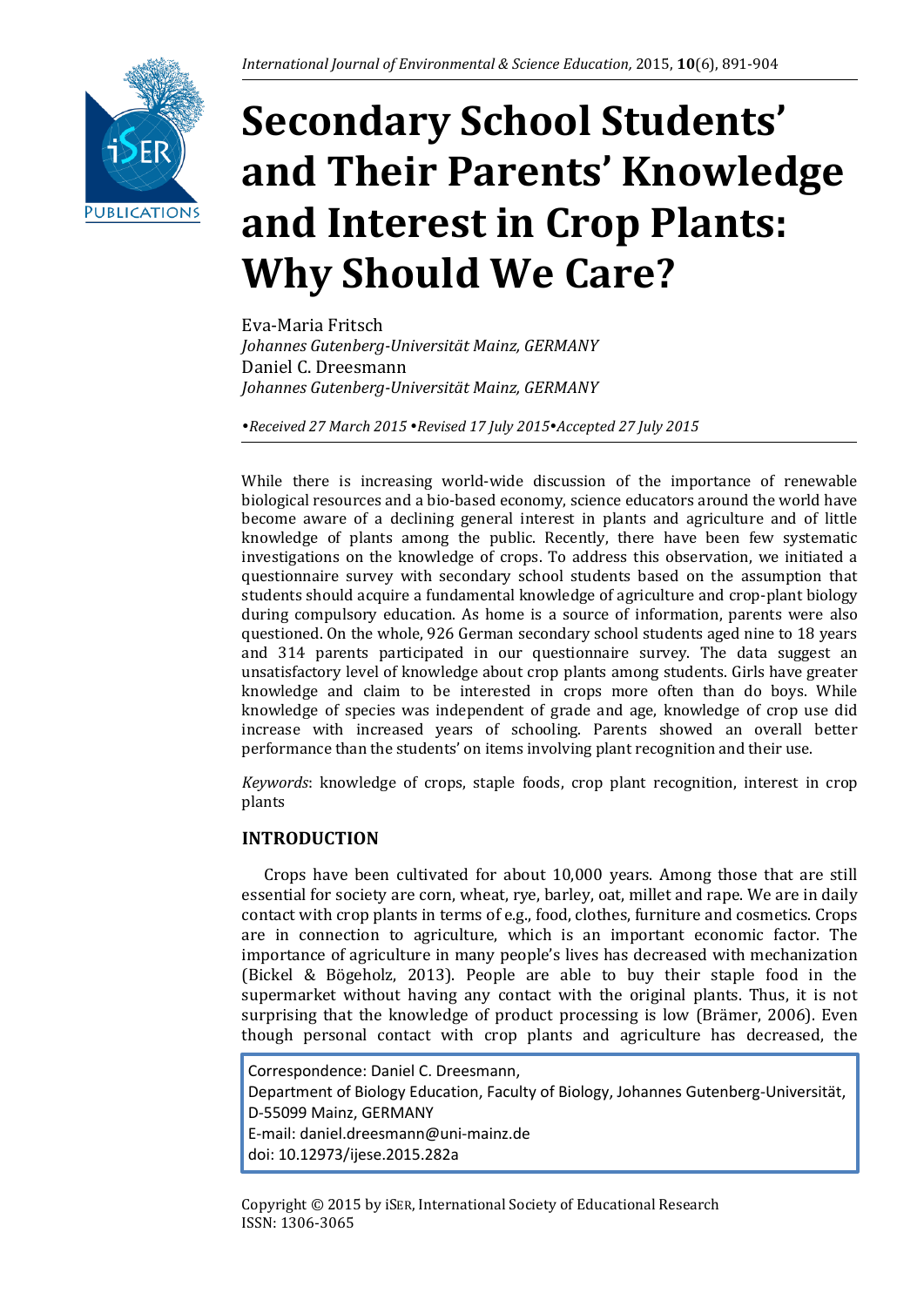

# **Secondary School Students' and Their Parents' Knowledge and Interest in Crop Plants: Why Should We Care?**

Eva-Maria Fritsch *Johannes Gutenberg-Universität Mainz, GERMANY* Daniel C. Dreesmann *Johannes Gutenberg-Universität Mainz, GERMANY*

*Received 27 March 2015 Revised 17 July 2015Accepted 27 July 2015*

While there is increasing world-wide discussion of the importance of renewable biological resources and a bio-based economy, science educators around the world have become aware of a declining general interest in plants and agriculture and of little knowledge of plants among the public. Recently, there have been few systematic investigations on the knowledge of crops. To address this observation, we initiated a questionnaire survey with secondary school students based on the assumption that students should acquire a fundamental knowledge of agriculture and crop-plant biology during compulsory education. As home is a source of information, parents were also questioned. On the whole, 926 German secondary school students aged nine to 18 years and 314 parents participated in our questionnaire survey. The data suggest an unsatisfactory level of knowledge about crop plants among students. Girls have greater knowledge and claim to be interested in crops more often than do boys. While knowledge of species was independent of grade and age, knowledge of crop use did increase with increased years of schooling. Parents showed an overall better performance than the students' on items involving plant recognition and their use.

*Keywords*: knowledge of crops, staple foods, crop plant recognition, interest in crop plants

# **INTRODUCTION**

Crops have been cultivated for about 10,000 years. Among those that are still essential for society are corn, wheat, rye, barley, oat, millet and rape. We are in daily contact with crop plants in terms of e.g., food, clothes, furniture and cosmetics. Crops are in connection to agriculture, which is an important economic factor. The importance of agriculture in many people's lives has decreased with mechanization (Bickel & Bögeholz, 2013). People are able to buy their staple food in the supermarket without having any contact with the original plants. Thus, it is not surprising that the knowledge of product processing is low (Brämer, 2006). Even though personal contact with crop plants and agriculture has decreased, the

Correspondence: Daniel C. Dreesmann, Department of Biology Education, Faculty of Biology, Johannes Gutenberg-Universität, D-55099 Mainz, GERMANY E-mail: daniel.dreesmann@uni-mainz.de doi: 10.12973/ijese.2015.282a

Copyright © 2015 by iSER, International Society of Educational Research ISSN: 1306-3065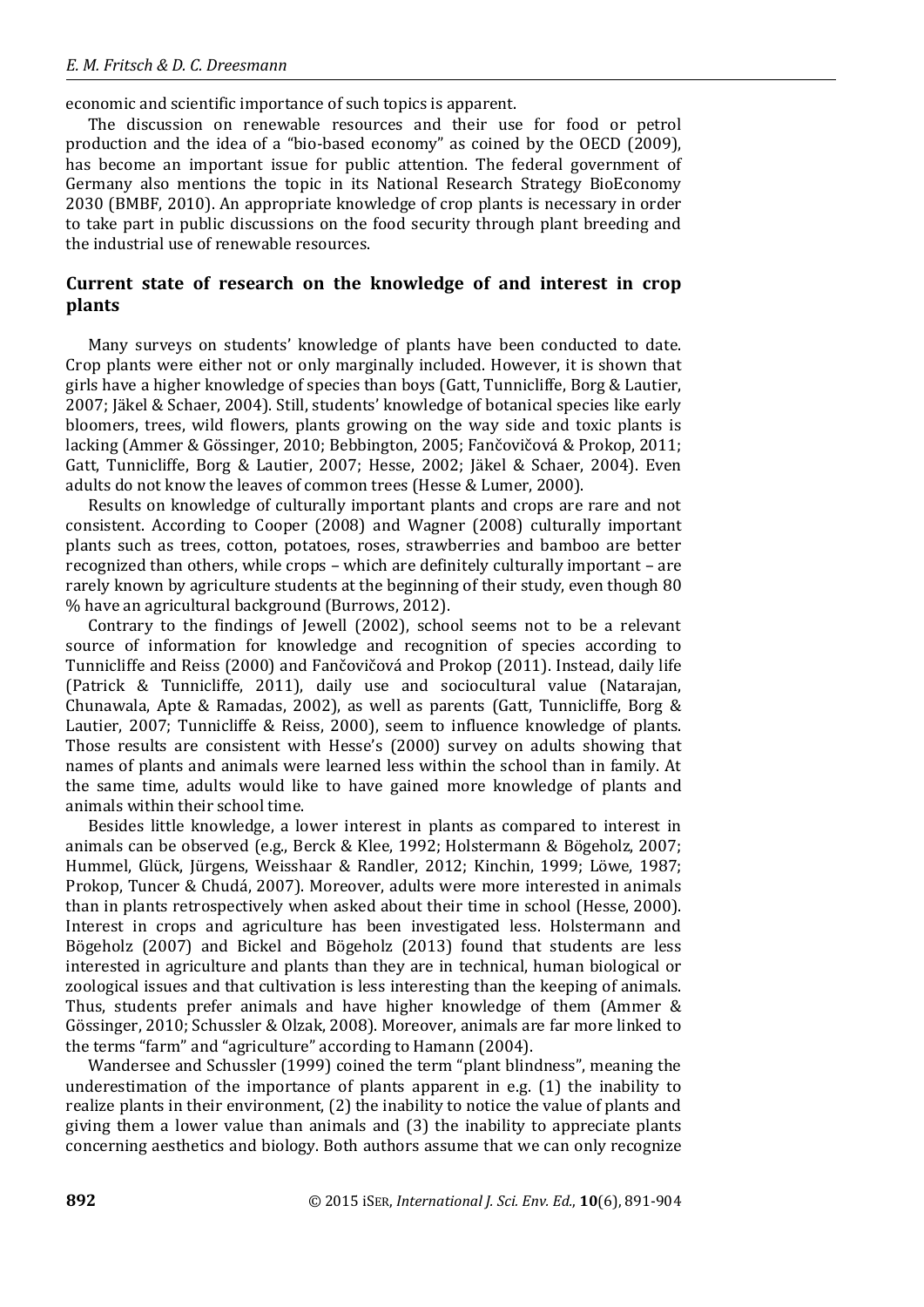#### *E. M. Fritsch & D. C. Dreesmann*

economic and scientific importance of such topics is apparent.

The discussion on renewable resources and their use for food or petrol production and the idea of a "bio-based economy" as coined by the OECD (2009), has become an important issue for public attention. The federal government of Germany also mentions the topic in its National Research Strategy BioEconomy 2030 (BMBF, 2010). An appropriate knowledge of crop plants is necessary in order to take part in public discussions on the food security through plant breeding and the industrial use of renewable resources.

## **Current state of research on the knowledge of and interest in crop plants**

Many surveys on students' knowledge of plants have been conducted to date. Crop plants were either not or only marginally included. However, it is shown that girls have a higher knowledge of species than boys (Gatt, Tunnicliffe, Borg & Lautier, 2007; Jäkel & Schaer, 2004). Still, students' knowledge of botanical species like early bloomers, trees, wild flowers, plants growing on the way side and toxic plants is lacking (Ammer & Gössinger, 2010; Bebbington, 2005; Fančovičová & Prokop, 2011; Gatt, Tunnicliffe, Borg & Lautier, 2007; Hesse, 2002; Jäkel & Schaer, 2004). Even adults do not know the leaves of common trees (Hesse & Lumer, 2000).

Results on knowledge of culturally important plants and crops are rare and not consistent. According to Cooper (2008) and Wagner (2008) culturally important plants such as trees, cotton, potatoes, roses, strawberries and bamboo are better recognized than others, while crops – which are definitely culturally important – are rarely known by agriculture students at the beginning of their study, even though 80 % have an agricultural background (Burrows, 2012).

Contrary to the findings of Jewell (2002), school seems not to be a relevant source of information for knowledge and recognition of species according to Tunnicliffe and Reiss (2000) and Fančovičová and Prokop (2011). Instead, daily life (Patrick & Tunnicliffe, 2011), daily use and sociocultural value (Natarajan, Chunawala, Apte & Ramadas, 2002), as well as parents (Gatt, Tunnicliffe, Borg & Lautier, 2007; Tunnicliffe & Reiss, 2000), seem to influence knowledge of plants. Those results are consistent with Hesse's (2000) survey on adults showing that names of plants and animals were learned less within the school than in family. At the same time, adults would like to have gained more knowledge of plants and animals within their school time.

Besides little knowledge, a lower interest in plants as compared to interest in animals can be observed (e.g., Berck & Klee, 1992; Holstermann & Bögeholz, 2007; Hummel, Glück, Jürgens, Weisshaar & Randler, 2012; Kinchin, 1999; Löwe, 1987; Prokop, Tuncer & Chudá, 2007). Moreover, adults were more interested in animals than in plants retrospectively when asked about their time in school (Hesse, 2000). Interest in crops and agriculture has been investigated less. Holstermann and Bögeholz (2007) and Bickel and Bögeholz (2013) found that students are less interested in agriculture and plants than they are in technical, human biological or zoological issues and that cultivation is less interesting than the keeping of animals. Thus, students prefer animals and have higher knowledge of them (Ammer & Gössinger, 2010; Schussler & Olzak, 2008). Moreover, animals are far more linked to the terms "farm" and "agriculture" according to Hamann (2004).

Wandersee and Schussler (1999) coined the term "plant blindness", meaning the underestimation of the importance of plants apparent in e.g. (1) the inability to realize plants in their environment, (2) the inability to notice the value of plants and giving them a lower value than animals and (3) the inability to appreciate plants concerning aesthetics and biology. Both authors assume that we can only recognize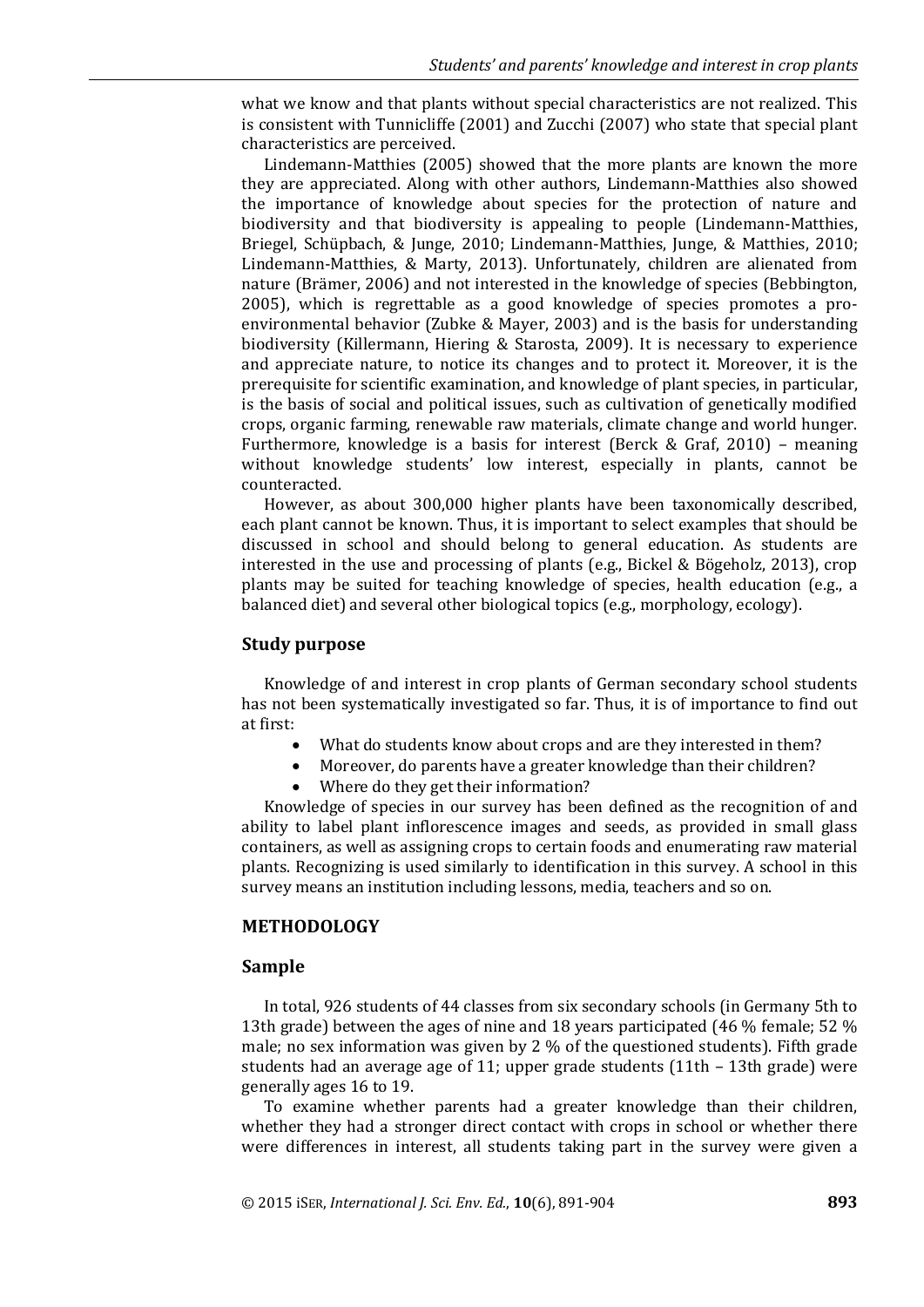what we know and that plants without special characteristics are not realized. This is consistent with Tunnicliffe (2001) and Zucchi (2007) who state that special plant characteristics are perceived.

Lindemann-Matthies (2005) showed that the more plants are known the more they are appreciated. Along with other authors, Lindemann-Matthies also showed the importance of knowledge about species for the protection of nature and biodiversity and that biodiversity is appealing to people (Lindemann-Matthies, Briegel, Schüpbach, & Junge, 2010; Lindemann-Matthies, Junge, & Matthies, 2010; Lindemann-Matthies, & Marty, 2013). Unfortunately, children are alienated from nature (Brämer, 2006) and not interested in the knowledge of species (Bebbington, 2005), which is regrettable as a good knowledge of species promotes a proenvironmental behavior (Zubke & Mayer, 2003) and is the basis for understanding biodiversity (Killermann, Hiering & Starosta, 2009). It is necessary to experience and appreciate nature, to notice its changes and to protect it. Moreover, it is the prerequisite for scientific examination, and knowledge of plant species, in particular, is the basis of social and political issues, such as cultivation of genetically modified crops, organic farming, renewable raw materials, climate change and world hunger. Furthermore, knowledge is a basis for interest (Berck & Graf, 2010) – meaning without knowledge students' low interest, especially in plants, cannot be counteracted.

However, as about 300,000 higher plants have been taxonomically described, each plant cannot be known. Thus, it is important to select examples that should be discussed in school and should belong to general education. As students are interested in the use and processing of plants (e.g., Bickel & Bögeholz, 2013), crop plants may be suited for teaching knowledge of species, health education (e.g., a balanced diet) and several other biological topics (e.g., morphology, ecology).

#### **Study purpose**

Knowledge of and interest in crop plants of German secondary school students has not been systematically investigated so far. Thus, it is of importance to find out at first:

- What do students know about crops and are they interested in them?
- Moreover, do parents have a greater knowledge than their children?
- Where do they get their information?

Knowledge of species in our survey has been defined as the recognition of and ability to label plant inflorescence images and seeds, as provided in small glass containers, as well as assigning crops to certain foods and enumerating raw material plants. Recognizing is used similarly to identification in this survey. A school in this survey means an institution including lessons, media, teachers and so on.

## **METHODOLOGY**

#### **Sample**

In total, 926 students of 44 classes from six secondary schools (in Germany 5th to 13th grade) between the ages of nine and 18 years participated (46 % female; 52 % male; no sex information was given by 2 % of the questioned students). Fifth grade students had an average age of 11; upper grade students (11th – 13th grade) were generally ages 16 to 19.

To examine whether parents had a greater knowledge than their children, whether they had a stronger direct contact with crops in school or whether there were differences in interest, all students taking part in the survey were given a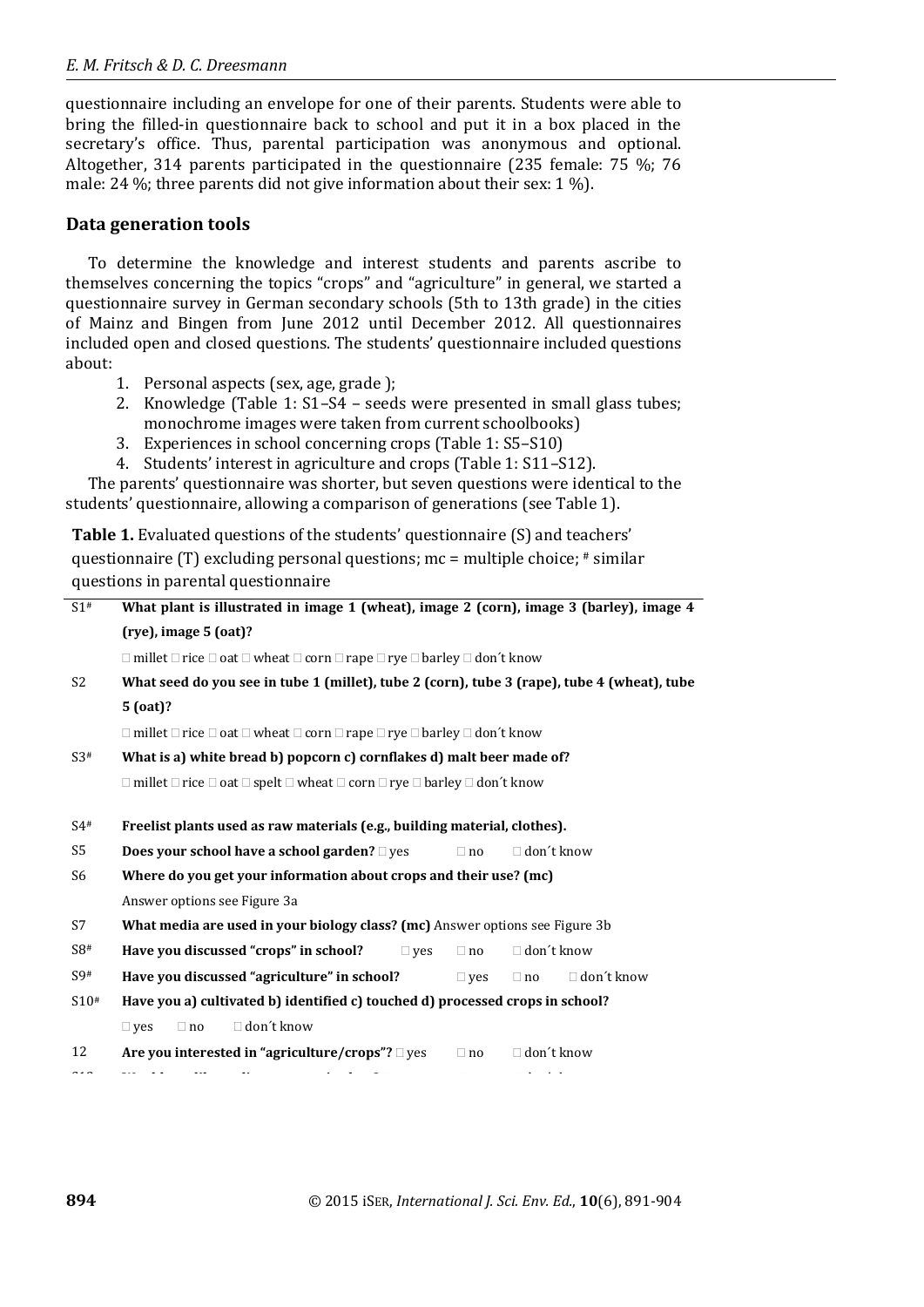questionnaire including an envelope for one of their parents. Students were able to bring the filled-in questionnaire back to school and put it in a box placed in the secretary's office. Thus, parental participation was anonymous and optional. Altogether, 314 parents participated in the questionnaire (235 female: 75 %; 76 male: 24 %; three parents did not give information about their sex: 1 %).

# **Data generation tools**

To determine the knowledge and interest students and parents ascribe to themselves concerning the topics "crops" and "agriculture" in general, we started a questionnaire survey in German secondary schools (5th to 13th grade) in the cities of Mainz and Bingen from June 2012 until December 2012. All questionnaires included open and closed questions. The students' questionnaire included questions about:

- 1. Personal aspects (sex, age, grade );
- 2. Knowledge (Table 1: S1–S4 seeds were presented in small glass tubes; monochrome images were taken from current schoolbooks)
- 3. Experiences in school concerning crops (Table 1: S5–S10)
- 4. Students' interest in agriculture and crops (Table 1: S11–S12).

The parents' questionnaire was shorter, but seven questions were identical to the students' questionnaire, allowing a comparison of generations (see Table 1).

**Table 1.** Evaluated questions of the students' questionnaire (S) and teachers' questionnaire (T) excluding personal questions; mc = multiple choice; # similar questions in parental questionnaire

| S1#            | What plant is illustrated in image 1 (wheat), image 2 (corn), image 3 (barley), image 4                               |            |            |                   |                   |
|----------------|-----------------------------------------------------------------------------------------------------------------------|------------|------------|-------------------|-------------------|
|                | $(rye)$ , image 5 $(oat)$ ?                                                                                           |            |            |                   |                   |
|                | $\Box$ millet $\Box$ rice $\Box$ oat $\Box$ wheat $\Box$ corn $\Box$ rape $\Box$ rye $\Box$ barley $\Box$ don't know  |            |            |                   |                   |
| S <sub>2</sub> | What seed do you see in tube 1 (millet), tube 2 (corn), tube 3 (rape), tube 4 (wheat), tube                           |            |            |                   |                   |
|                | $5$ (oat)?                                                                                                            |            |            |                   |                   |
|                | $\Box$ millet $\Box$ rice $\Box$ oat $\Box$ wheat $\Box$ corn $\Box$ rape $\Box$ rye $\Box$ barley $\Box$ don't know  |            |            |                   |                   |
| S3#            | What is a) white bread b) popcorn c) cornflakes d) malt beer made of?                                                 |            |            |                   |                   |
|                | $\Box$ millet $\Box$ rice $\Box$ oat $\Box$ spelt $\Box$ wheat $\Box$ corn $\Box$ rye $\Box$ barley $\Box$ don't know |            |            |                   |                   |
|                |                                                                                                                       |            |            |                   |                   |
| $S4^{\#}$      | Freelist plants used as raw materials (e.g., building material, clothes).                                             |            |            |                   |                   |
| S <sub>5</sub> | <b>Does your school have a school garden?</b> □ yes                                                                   |            | $\Box$ no  | $\Box$ don't know |                   |
| S <sub>6</sub> | Where do you get your information about crops and their use? (mc)                                                     |            |            |                   |                   |
|                | Answer options see Figure 3a                                                                                          |            |            |                   |                   |
| S7             | What media are used in your biology class? (mc) Answer options see Figure 3b                                          |            |            |                   |                   |
| S8#            | Have you discussed "crops" in school?                                                                                 | $\Box$ ves | $\Box$ no  | $\Box$ don't know |                   |
| S9#            | Have you discussed "agriculture" in school?                                                                           |            | $\Box$ ves | $\Box$ no         | $\Box$ don't know |
| S10#           | Have you a) cultivated b) identified c) touched d) processed crops in school?                                         |            |            |                   |                   |
|                | $\Box$ don't know<br>$\square$ yes<br>$\Box$ no                                                                       |            |            |                   |                   |
| 12             | Are you interested in "agriculture/crops"? $\square$ yes                                                              |            | $\Box$ no  | $\Box$ don't know |                   |
|                |                                                                                                                       |            |            |                   |                   |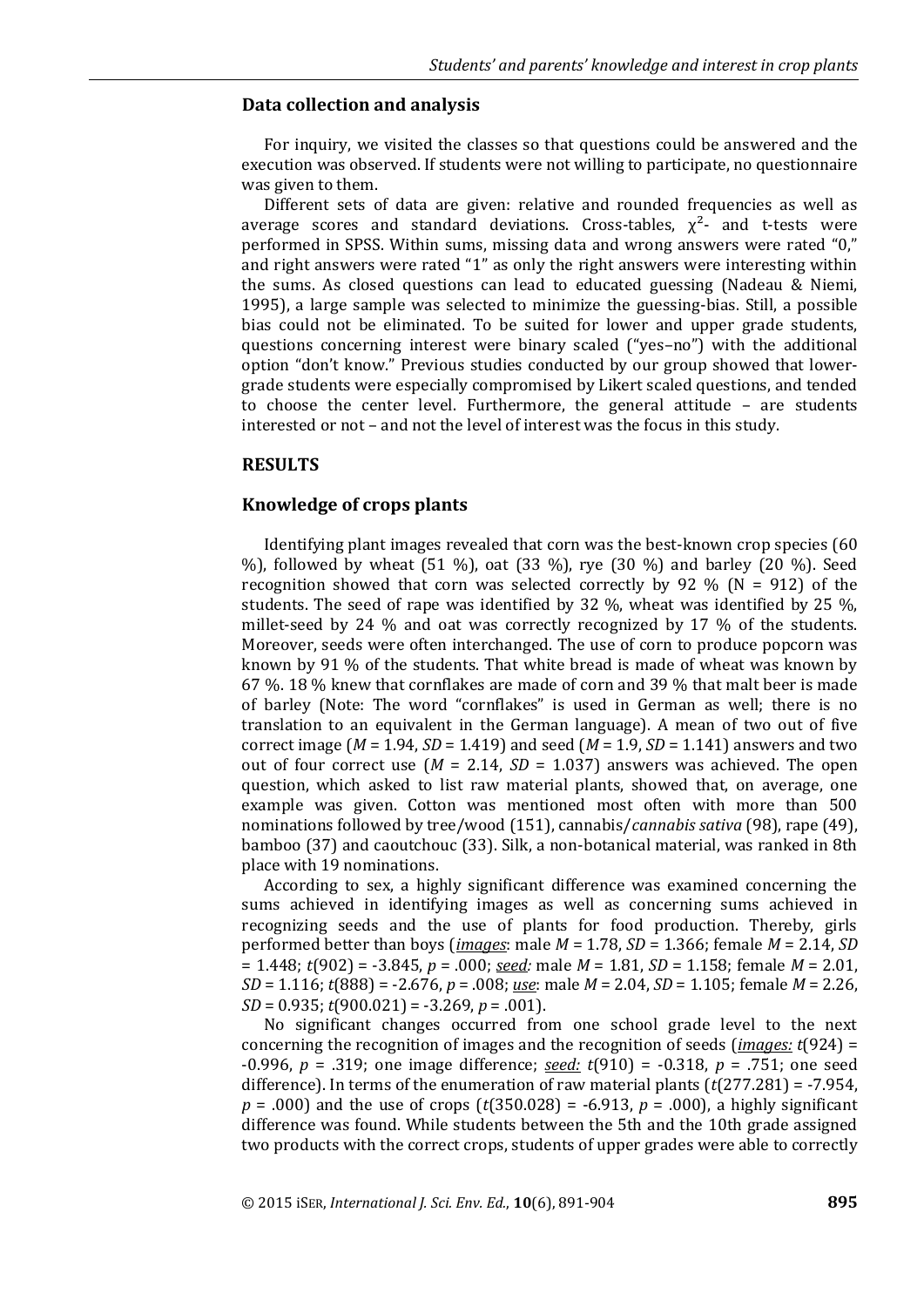#### **Data collection and analysis**

For inquiry, we visited the classes so that questions could be answered and the execution was observed. If students were not willing to participate, no questionnaire was given to them.

Different sets of data are given: relative and rounded frequencies as well as average scores and standard deviations. Cross-tables,  $\chi^2$ - and t-tests were performed in SPSS. Within sums, missing data and wrong answers were rated "0," and right answers were rated "1" as only the right answers were interesting within the sums. As closed questions can lead to educated guessing (Nadeau & Niemi, 1995), a large sample was selected to minimize the guessing-bias. Still, a possible bias could not be eliminated. To be suited for lower and upper grade students, questions concerning interest were binary scaled ("yes–no") with the additional option "don't know." Previous studies conducted by our group showed that lowergrade students were especially compromised by Likert scaled questions, and tended to choose the center level. Furthermore, the general attitude – are students interested or not – and not the level of interest was the focus in this study.

#### **RESULTS**

#### **Knowledge of crops plants**

Identifying plant images revealed that corn was the best-known crop species (60 %), followed by wheat (51 %), oat (33 %), rye (30 %) and barley (20 %). Seed recognition showed that corn was selected correctly by 92 % ( $N = 912$ ) of the students. The seed of rape was identified by 32 %, wheat was identified by 25 %, millet-seed by 24 % and oat was correctly recognized by 17 % of the students. Moreover, seeds were often interchanged. The use of corn to produce popcorn was known by 91 % of the students. That white bread is made of wheat was known by 67 %. 18 % knew that cornflakes are made of corn and 39 % that malt beer is made of barley (Note: The word "cornflakes" is used in German as well; there is no translation to an equivalent in the German language). A mean of two out of five correct image (*M* = 1.94, *SD* = 1.419) and seed (*M* = 1.9, *SD* = 1.141) answers and two out of four correct use  $(M = 2.14, SD = 1.037)$  answers was achieved. The open question, which asked to list raw material plants, showed that, on average, one example was given. Cotton was mentioned most often with more than 500 nominations followed by tree/wood (151), cannabis/*cannabis sativa* (98), rape (49), bamboo (37) and caoutchouc (33). Silk, a non-botanical material, was ranked in 8th place with 19 nominations.

According to sex, a highly significant difference was examined concerning the sums achieved in identifying images as well as concerning sums achieved in recognizing seeds and the use of plants for food production. Thereby, girls performed better than boys (*images*: male *M* = 1.78, *SD* = 1.366; female *M* = 2.14, *SD* = 1.448; *t*(902) = -3.845, *p* = .000; *seed:* male *M* = 1.81, *SD* = 1.158; female *M* = 2.01, *SD* = 1.116; *t*(888) = -2.676, *p* = .008; *use*: male *M* = 2.04, *SD* = 1.105; female *M* = 2.26, *SD* = 0.935; *t*(900.021) = -3.269, *p* = .001).

No significant changes occurred from one school grade level to the next concerning the recognition of images and the recognition of seeds (*images: t*(924) = -0.996, *p* = .319; one image difference; *seed: t*(910) = -0.318, *p* = .751; one seed difference). In terms of the enumeration of raw material plants (*t*(277.281) = -7.954, *p* = .000) and the use of crops (*t*(350.028) = -6.913, *p* = .000), a highly significant difference was found. While students between the 5th and the 10th grade assigned two products with the correct crops, students of upper grades were able to correctly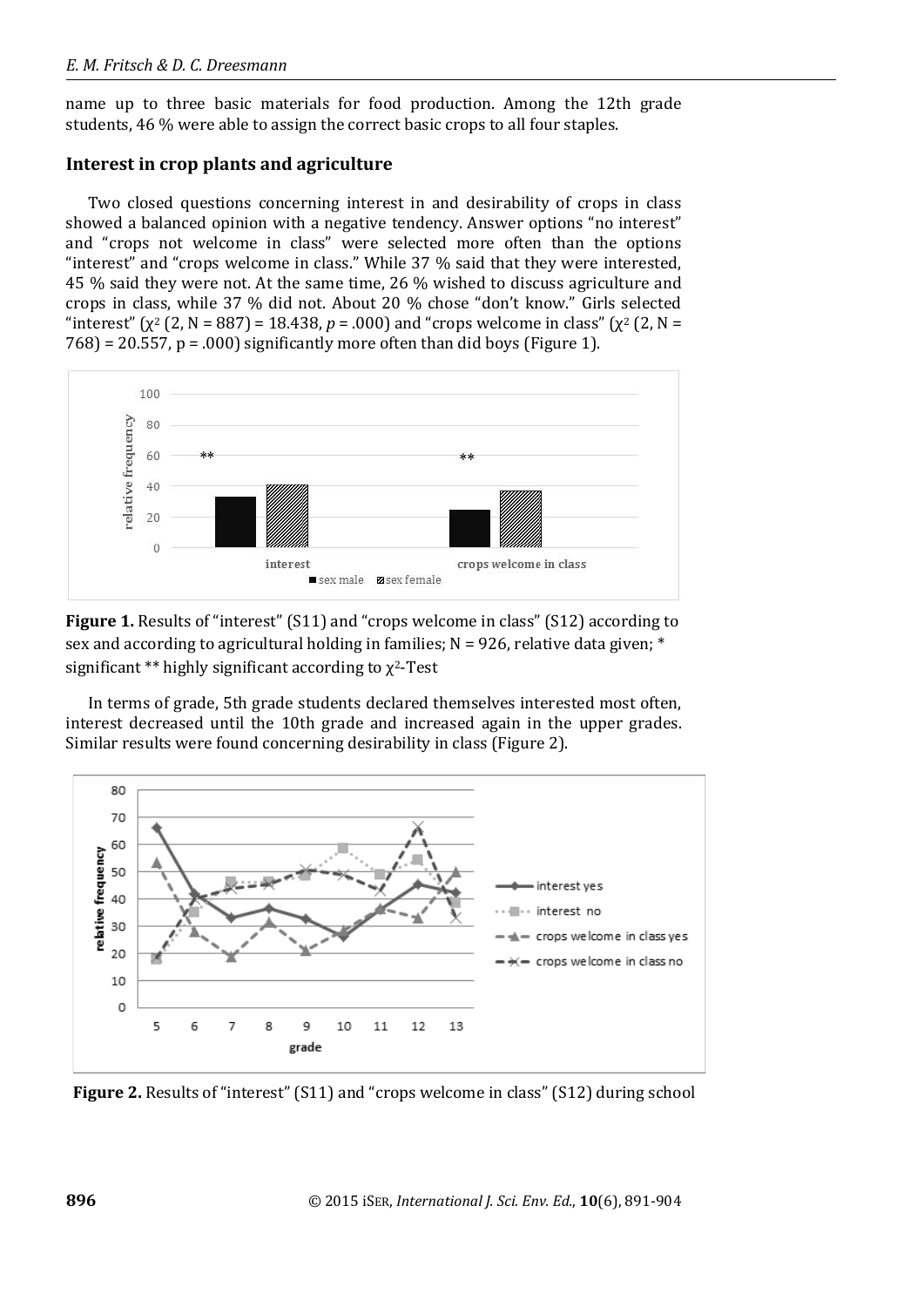name up to three basic materials for food production. Among the 12th grade students, 46 % were able to assign the correct basic crops to all four staples.

## **Interest in crop plants and agriculture**

Two closed questions concerning interest in and desirability of crops in class showed a balanced opinion with a negative tendency. Answer options "no interest" and "crops not welcome in class" were selected more often than the options "interest" and "crops welcome in class." While 37 % said that they were interested, 45 % said they were not. At the same time, 26 % wished to discuss agriculture and crops in class, while 37 % did not. About 20 % chose "don't know." Girls selected "interest" ( $\chi^2$  (2, N = 887) = 18.438, p = .000) and "crops welcome in class" ( $\chi^2$  (2, N =  $768$  = 20.557, p = .000) significantly more often than did boys (Figure 1).



**Figure 1.** Results of "interest" (S11) and "crops welcome in class" (S12) according to sex and according to agricultural holding in families;  $N = 926$ , relative data given;  $*$ significant \*\* highly significant according to  $\chi^2$ -Test

In terms of grade, 5th grade students declared themselves interested most often, interest decreased until the 10th grade and increased again in the upper grades. Similar results were found concerning desirability in class (Figure 2).



**Figure 2.** Results of "interest" (S11) and "crops welcome in class" (S12) during school

**896** © 2015 iSER, *International J. Sci. Env. Ed.*, **10**(6), 891-904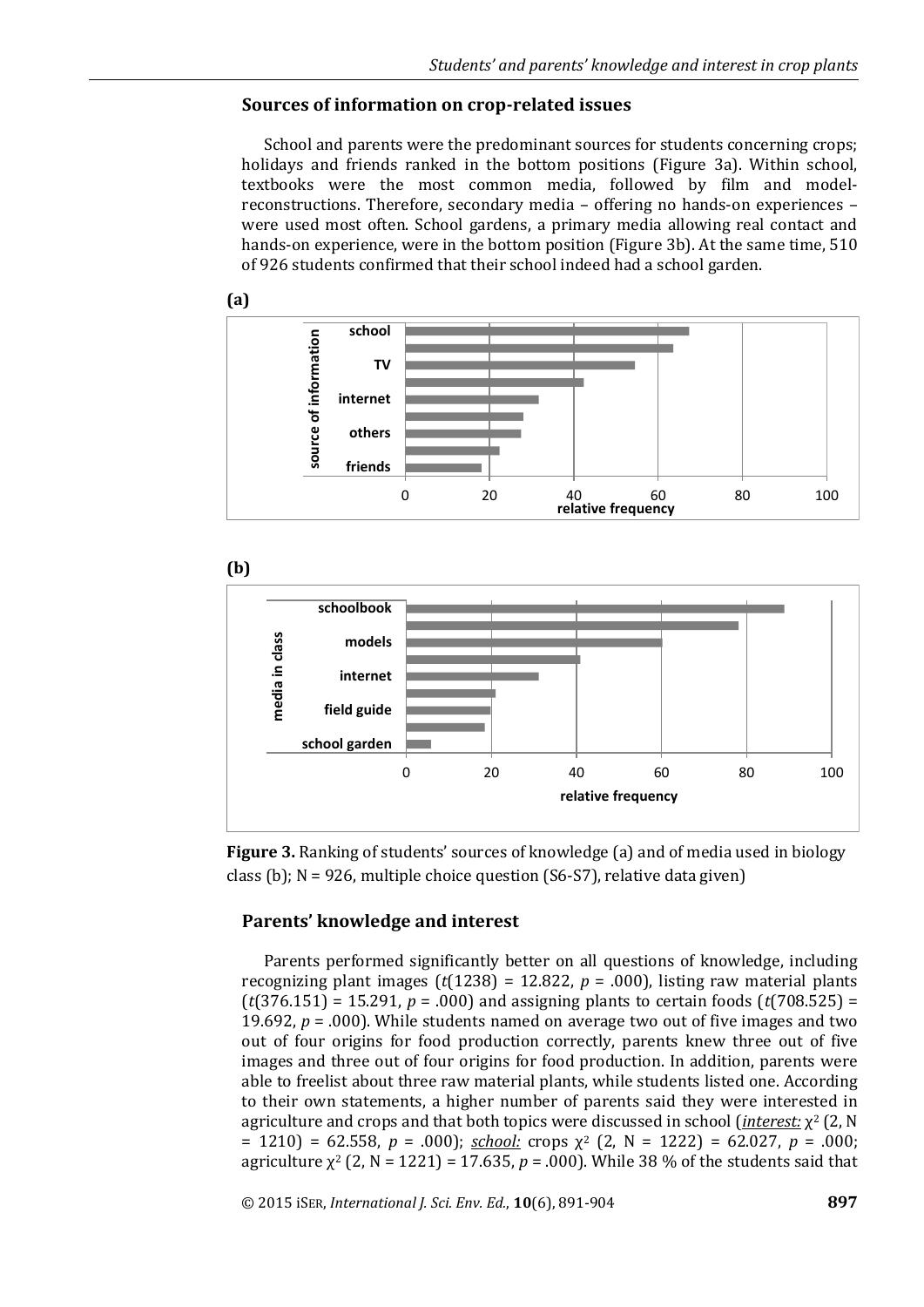## **Sources of information on crop-related issues**

School and parents were the predominant sources for students concerning crops; holidays and friends ranked in the bottom positions (Figure 3a). Within school, textbooks were the most common media, followed by film and modelreconstructions. Therefore, secondary media – offering no hands-on experiences – were used most often. School gardens, a primary media allowing real contact and hands-on experience, were in the bottom position (Figure 3b). At the same time, 510 of 926 students confirmed that their school indeed had a school garden.



**Figure 3.** Ranking of students' sources of knowledge (a) and of media used in biology class (b); N = 926, multiple choice question (S6-S7), relative data given)

### **Parents' knowledge and interest**

Parents performed significantly better on all questions of knowledge, including recognizing plant images  $(t(1238) = 12.822, p = .000)$ , listing raw material plants (*t*(376.151) = 15.291, *p* = .000) and assigning plants to certain foods (*t*(708.525) = 19.692,  $p = .000$ ). While students named on average two out of five images and two out of four origins for food production correctly, parents knew three out of five images and three out of four origins for food production. In addition, parents were able to freelist about three raw material plants, while students listed one. According to their own statements, a higher number of parents said they were interested in agriculture and crops and that both topics were discussed in school (*interest:* χ<sup>2</sup> (2, N = 1210) = 62.558, *p* = .000); *school:* crops χ<sup>2</sup> (2, N = 1222) = 62.027, *p* = .000; agriculture  $\chi^2$  (2, N = 1221) = 17.635, p = .000). While 38 % of the students said that

© 2015 iSER, *International J. Sci. Env. Ed.*, **10**(6), 891-904 **897**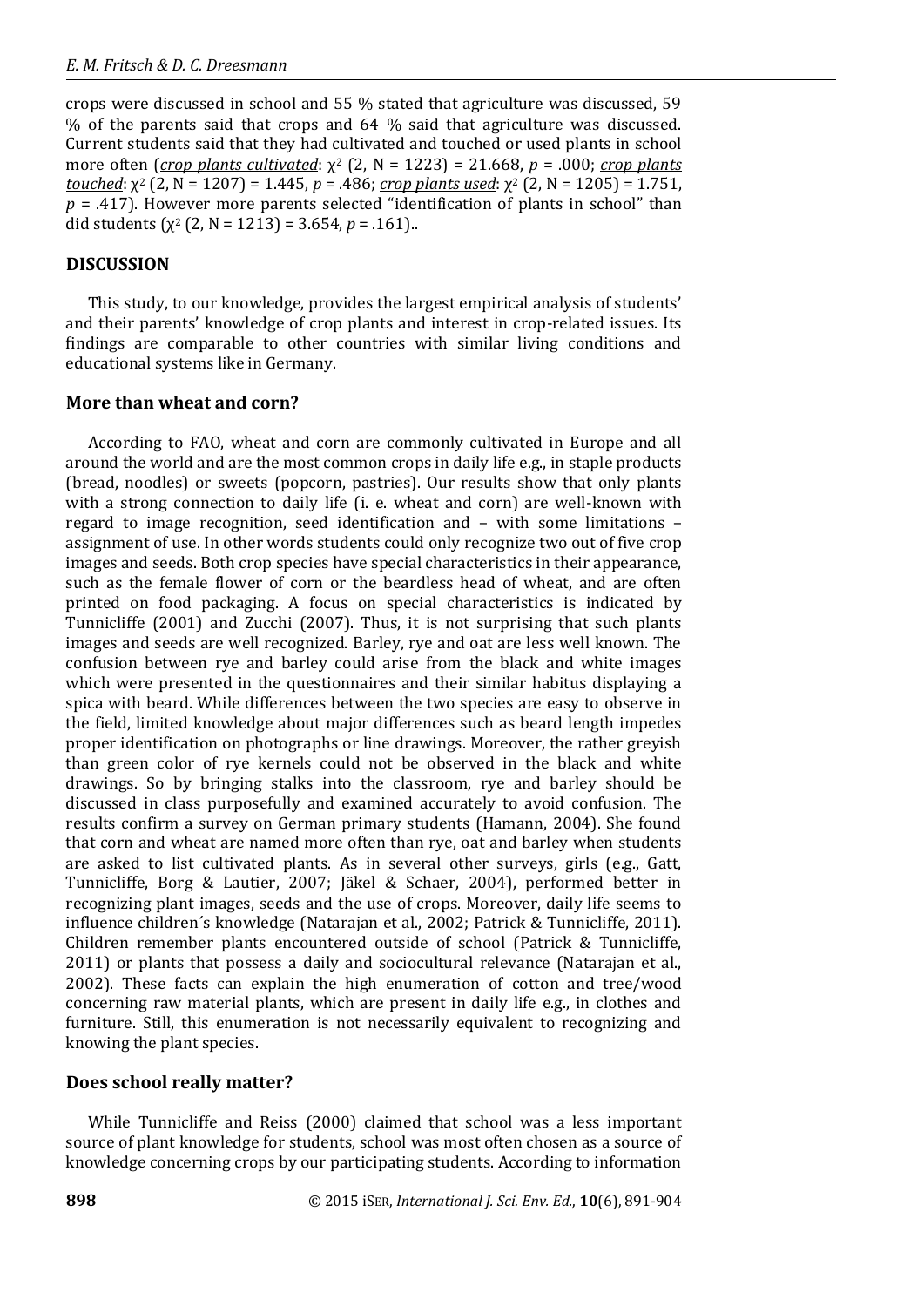crops were discussed in school and 55 % stated that agriculture was discussed, 59 % of the parents said that crops and 64 % said that agriculture was discussed. Current students said that they had cultivated and touched or used plants in school more often (*crop plants cultivated*:  $χ²$  (2, N = 1223) = 21.668, *p* = .000; *crop plants touched*:  $\chi^2$  (2, N = 1207) = 1.445, *p* = .486; *crop plants used*:  $\chi^2$  (2, N = 1205) = 1.751,  $p = .417$ ). However more parents selected "identification of plants in school" than did students  $(\chi^2$  (2, N = 1213) = 3.654, p = .161)..

# **DISCUSSION**

This study, to our knowledge, provides the largest empirical analysis of students' and their parents' knowledge of crop plants and interest in crop-related issues. Its findings are comparable to other countries with similar living conditions and educational systems like in Germany.

# **More than wheat and corn?**

According to FAO, wheat and corn are commonly cultivated in Europe and all around the world and are the most common crops in daily life e.g., in staple products (bread, noodles) or sweets (popcorn, pastries). Our results show that only plants with a strong connection to daily life (i. e. wheat and corn) are well-known with regard to image recognition, seed identification and – with some limitations – assignment of use. In other words students could only recognize two out of five crop images and seeds. Both crop species have special characteristics in their appearance, such as the female flower of corn or the beardless head of wheat, and are often printed on food packaging. A focus on special characteristics is indicated by Tunnicliffe (2001) and Zucchi (2007). Thus, it is not surprising that such plants images and seeds are well recognized. Barley, rye and oat are less well known. The confusion between rye and barley could arise from the black and white images which were presented in the questionnaires and their similar habitus displaying a spica with beard. While differences between the two species are easy to observe in the field, limited knowledge about major differences such as beard length impedes proper identification on photographs or line drawings. Moreover, the rather greyish than green color of rye kernels could not be observed in the black and white drawings. So by bringing stalks into the classroom, rye and barley should be discussed in class purposefully and examined accurately to avoid confusion. The results confirm a survey on German primary students (Hamann, 2004). She found that corn and wheat are named more often than rye, oat and barley when students are asked to list cultivated plants. As in several other surveys, girls (e.g., Gatt, Tunnicliffe, Borg & Lautier, 2007; Jäkel & Schaer, 2004), performed better in recognizing plant images, seeds and the use of crops. Moreover, daily life seems to influence children´s knowledge (Natarajan et al., 2002; Patrick & Tunnicliffe, 2011). Children remember plants encountered outside of school (Patrick & Tunnicliffe, 2011) or plants that possess a daily and sociocultural relevance (Natarajan et al., 2002). These facts can explain the high enumeration of cotton and tree/wood concerning raw material plants, which are present in daily life e.g., in clothes and furniture. Still, this enumeration is not necessarily equivalent to recognizing and knowing the plant species.

## **Does school really matter?**

While Tunnicliffe and Reiss (2000) claimed that school was a less important source of plant knowledge for students, school was most often chosen as a source of knowledge concerning crops by our participating students. According to information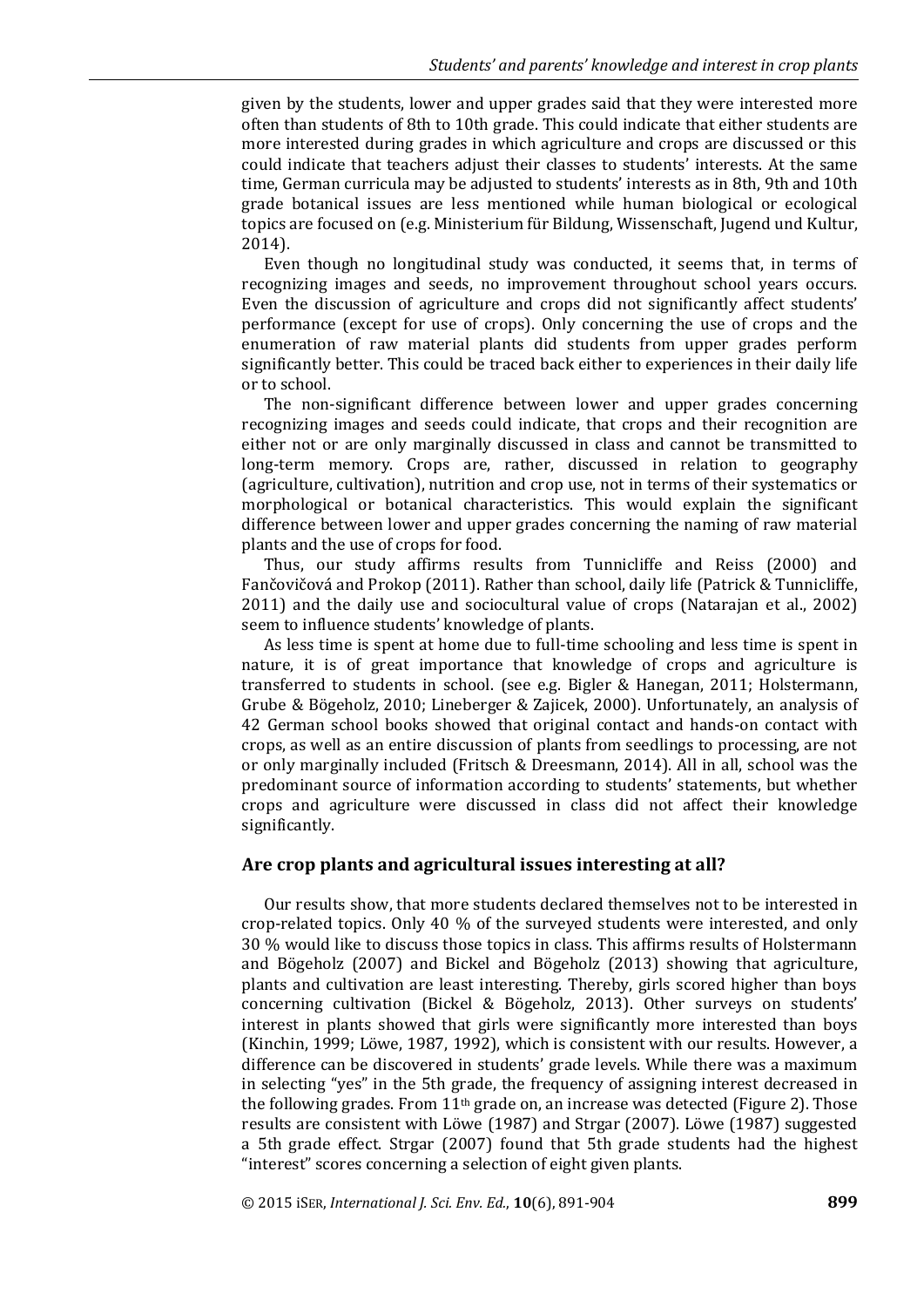given by the students, lower and upper grades said that they were interested more often than students of 8th to 10th grade. This could indicate that either students are more interested during grades in which agriculture and crops are discussed or this could indicate that teachers adjust their classes to students' interests. At the same time, German curricula may be adjusted to students' interests as in 8th, 9th and 10th grade botanical issues are less mentioned while human biological or ecological topics are focused on (e.g. Ministerium für Bildung, Wissenschaft, Jugend und Kultur, 2014).

Even though no longitudinal study was conducted, it seems that, in terms of recognizing images and seeds, no improvement throughout school years occurs. Even the discussion of agriculture and crops did not significantly affect students' performance (except for use of crops). Only concerning the use of crops and the enumeration of raw material plants did students from upper grades perform significantly better. This could be traced back either to experiences in their daily life or to school.

The non-significant difference between lower and upper grades concerning recognizing images and seeds could indicate, that crops and their recognition are either not or are only marginally discussed in class and cannot be transmitted to long-term memory. Crops are, rather, discussed in relation to geography (agriculture, cultivation), nutrition and crop use, not in terms of their systematics or morphological or botanical characteristics. This would explain the significant difference between lower and upper grades concerning the naming of raw material plants and the use of crops for food.

Thus, our study affirms results from Tunnicliffe and Reiss (2000) and Fančovičová and Prokop (2011). Rather than school, daily life (Patrick & Tunnicliffe, 2011) and the daily use and sociocultural value of crops (Natarajan et al., 2002) seem to influence students' knowledge of plants.

As less time is spent at home due to full-time schooling and less time is spent in nature, it is of great importance that knowledge of crops and agriculture is transferred to students in school. (see e.g. Bigler & Hanegan, 2011; Holstermann, Grube & Bögeholz, 2010; Lineberger & Zajicek, 2000). Unfortunately, an analysis of 42 German school books showed that original contact and hands-on contact with crops, as well as an entire discussion of plants from seedlings to processing, are not or only marginally included (Fritsch & Dreesmann, 2014). All in all, school was the predominant source of information according to students' statements, but whether crops and agriculture were discussed in class did not affect their knowledge significantly.

## **Are crop plants and agricultural issues interesting at all?**

Our results show, that more students declared themselves not to be interested in crop-related topics. Only 40 % of the surveyed students were interested, and only 30 % would like to discuss those topics in class. This affirms results of Holstermann and Bögeholz (2007) and Bickel and Bögeholz (2013) showing that agriculture, plants and cultivation are least interesting. Thereby, girls scored higher than boys concerning cultivation (Bickel & Bögeholz, 2013). Other surveys on students' interest in plants showed that girls were significantly more interested than boys (Kinchin, 1999; Löwe, 1987, 1992), which is consistent with our results. However, a difference can be discovered in students' grade levels. While there was a maximum in selecting "yes" in the 5th grade, the frequency of assigning interest decreased in the following grades. From 11th grade on, an increase was detected (Figure 2). Those results are consistent with Löwe (1987) and Strgar (2007). Löwe (1987) suggested a 5th grade effect. Strgar (2007) found that 5th grade students had the highest "interest" scores concerning a selection of eight given plants.

© 2015 iSER, *International J. Sci. Env. Ed.*, **10**(6), 891-904 **899**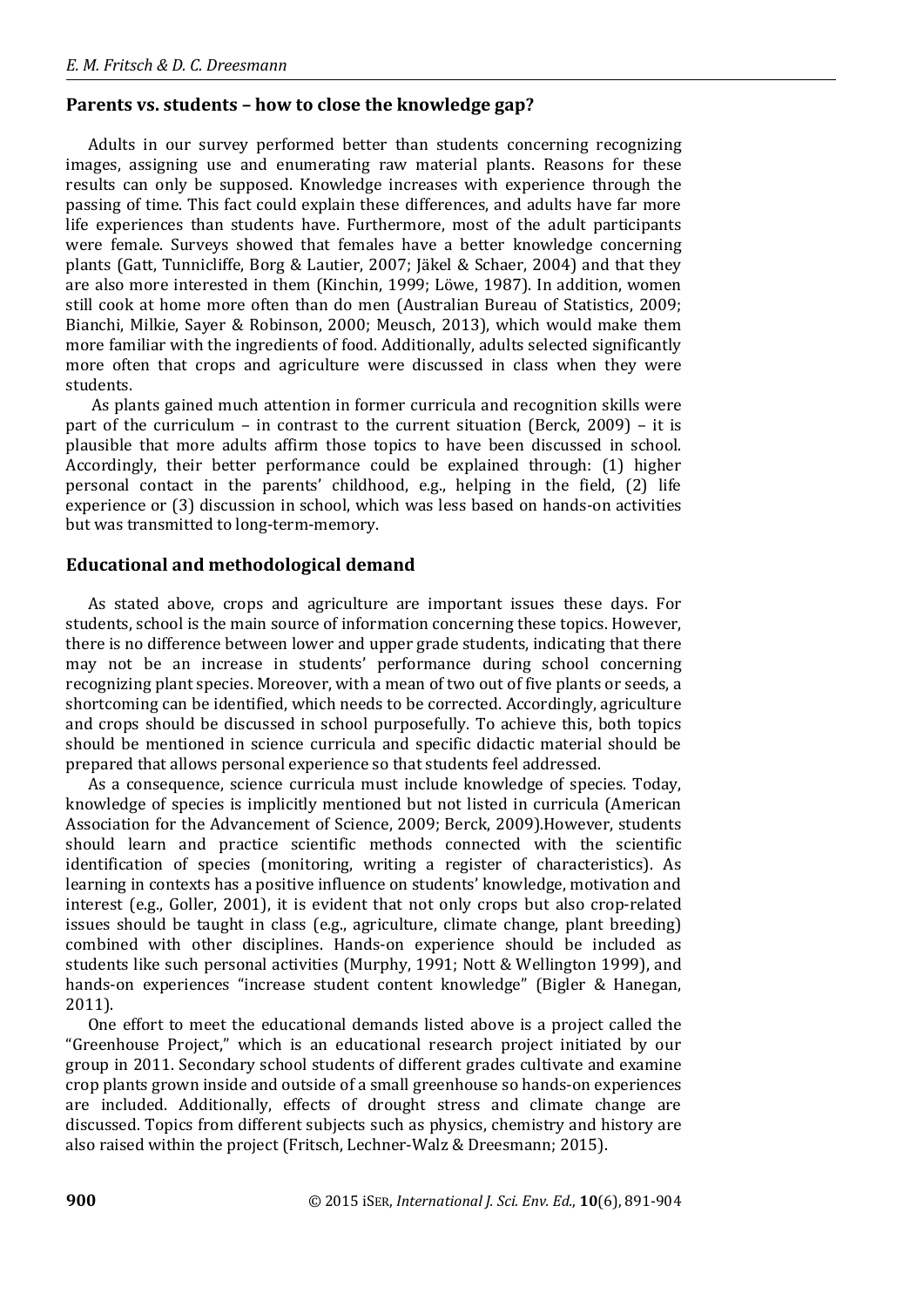## **Parents vs. students – how to close the knowledge gap?**

Adults in our survey performed better than students concerning recognizing images, assigning use and enumerating raw material plants. Reasons for these results can only be supposed. Knowledge increases with experience through the passing of time. This fact could explain these differences, and adults have far more life experiences than students have. Furthermore, most of the adult participants were female. Surveys showed that females have a better knowledge concerning plants (Gatt, Tunnicliffe, Borg & Lautier, 2007; Jäkel & Schaer, 2004) and that they are also more interested in them (Kinchin, 1999; Löwe, 1987). In addition, women still cook at home more often than do men (Australian Bureau of Statistics, 2009; Bianchi, Milkie, Sayer & Robinson, 2000; Meusch, 2013), which would make them more familiar with the ingredients of food. Additionally, adults selected significantly more often that crops and agriculture were discussed in class when they were students.

As plants gained much attention in former curricula and recognition skills were part of the curriculum – in contrast to the current situation (Berck, 2009) – it is plausible that more adults affirm those topics to have been discussed in school. Accordingly, their better performance could be explained through: (1) higher personal contact in the parents' childhood, e.g., helping in the field, (2) life experience or (3) discussion in school, which was less based on hands-on activities but was transmitted to long-term-memory.

### **Educational and methodological demand**

As stated above, crops and agriculture are important issues these days. For students, school is the main source of information concerning these topics. However, there is no difference between lower and upper grade students, indicating that there may not be an increase in students' performance during school concerning recognizing plant species. Moreover, with a mean of two out of five plants or seeds, a shortcoming can be identified, which needs to be corrected. Accordingly, agriculture and crops should be discussed in school purposefully. To achieve this, both topics should be mentioned in science curricula and specific didactic material should be prepared that allows personal experience so that students feel addressed.

As a consequence, science curricula must include knowledge of species. Today, knowledge of species is implicitly mentioned but not listed in curricula (American Association for the Advancement of Science, 2009; Berck, 2009).However, students should learn and practice scientific methods connected with the scientific identification of species (monitoring, writing a register of characteristics). As learning in contexts has a positive influence on students' knowledge, motivation and interest (e.g., Goller, 2001), it is evident that not only crops but also crop-related issues should be taught in class (e.g., agriculture, climate change, plant breeding) combined with other disciplines. Hands-on experience should be included as students like such personal activities (Murphy, 1991; Nott & Wellington 1999), and hands-on experiences "increase student content knowledge" (Bigler & Hanegan, 2011).

One effort to meet the educational demands listed above is a project called the "Greenhouse Project," which is an educational research project initiated by our group in 2011. Secondary school students of different grades cultivate and examine crop plants grown inside and outside of a small greenhouse so hands-on experiences are included. Additionally, effects of drought stress and climate change are discussed. Topics from different subjects such as physics, chemistry and history are also raised within the project (Fritsch, Lechner-Walz & Dreesmann; 2015).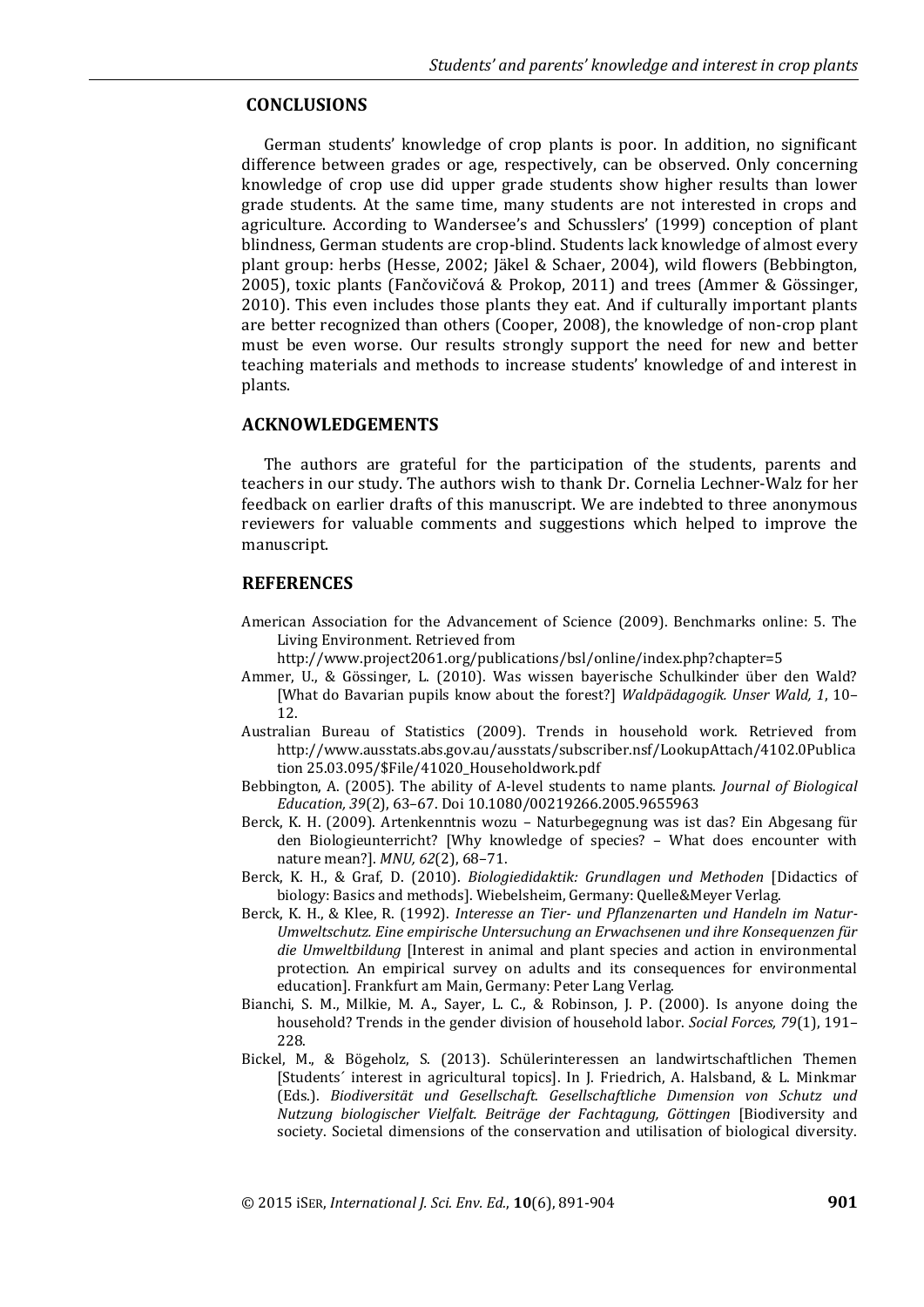### **CONCLUSIONS**

German students' knowledge of crop plants is poor. In addition, no significant difference between grades or age, respectively, can be observed. Only concerning knowledge of crop use did upper grade students show higher results than lower grade students. At the same time, many students are not interested in crops and agriculture. According to Wandersee's and Schusslers' (1999) conception of plant blindness, German students are crop-blind. Students lack knowledge of almost every plant group: herbs (Hesse, 2002; Jäkel & Schaer, 2004), wild flowers (Bebbington, 2005), toxic plants (Fančovičová & Prokop, 2011) and trees (Ammer & Gössinger, 2010). This even includes those plants they eat. And if culturally important plants are better recognized than others (Cooper, 2008), the knowledge of non-crop plant must be even worse. Our results strongly support the need for new and better teaching materials and methods to increase students' knowledge of and interest in plants.

#### **ACKNOWLEDGEMENTS**

The authors are grateful for the participation of the students, parents and teachers in our study. The authors wish to thank Dr. Cornelia Lechner-Walz for her feedback on earlier drafts of this manuscript. We are indebted to three anonymous reviewers for valuable comments and suggestions which helped to improve the manuscript.

#### **REFERENCES**

- American Association for the Advancement of Science (2009). Benchmarks online: 5. The Living Environment. Retrieved from
	- http://www.project2061.org/publications/bsl/online/index.php?chapter=5
- Ammer, U., & Gössinger, L. (2010). Was wissen bayerische Schulkinder über den Wald? [What do Bavarian pupils know about the forest?] *Waldpädagogik. Unser Wald, 1*, 10– 12.
- Australian Bureau of Statistics (2009). Trends in household work. Retrieved from http://www.ausstats.abs.gov.au/ausstats/subscriber.nsf/LookupAttach/4102.0Publica tion 25.03.095/\$File/41020\_Householdwork.pdf
- Bebbington, A. (2005). The ability of A-level students to name plants. *Journal of Biological Education, 39*(2), 63–67. Doi 10.1080/00219266.2005.9655963
- Berck, K. H. (2009). Artenkenntnis wozu Naturbegegnung was ist das? Ein Abgesang für den Biologieunterricht? [Why knowledge of species? – What does encounter with nature mean?]. *MNU, 62*(2), 68–71.
- Berck, K. H., & Graf, D. (2010). *Biologiedidaktik: Grundlagen und Methoden* [Didactics of biology: Basics and methods]. Wiebelsheim, Germany: Quelle&Meyer Verlag.
- Berck, K. H., & Klee, R. (1992). *Interesse an Tier- und Pflanzenarten und Handeln im Natur-Umweltschutz. Eine empirische Untersuchung an Erwachsenen und ihre Konsequenzen für die Umweltbildung* [Interest in animal and plant species and action in environmental protection. An empirical survey on adults and its consequences for environmental education]. Frankfurt am Main, Germany: Peter Lang Verlag.
- Bianchi, S. M., Milkie, M. A., Sayer, L. C., & Robinson, J. P. (2000). Is anyone doing the household? Trends in the gender division of household labor. *Social Forces, 79*(1), 191– 228.
- Bickel, M., & Bögeholz, S. (2013). Schülerinteressen an landwirtschaftlichen Themen [Students´ interest in agricultural topics]. In J. Friedrich, A. Halsband, & L. Minkmar (Eds.). *Biodiversität und Gesellschaft. Gesellschaftliche Dımension von Schutz und Nutzung biologischer Vielfalt. Beiträge der Fachtagung, Göttingen* [Biodiversity and society. Societal dimensions of the conservation and utilisation of biological diversity.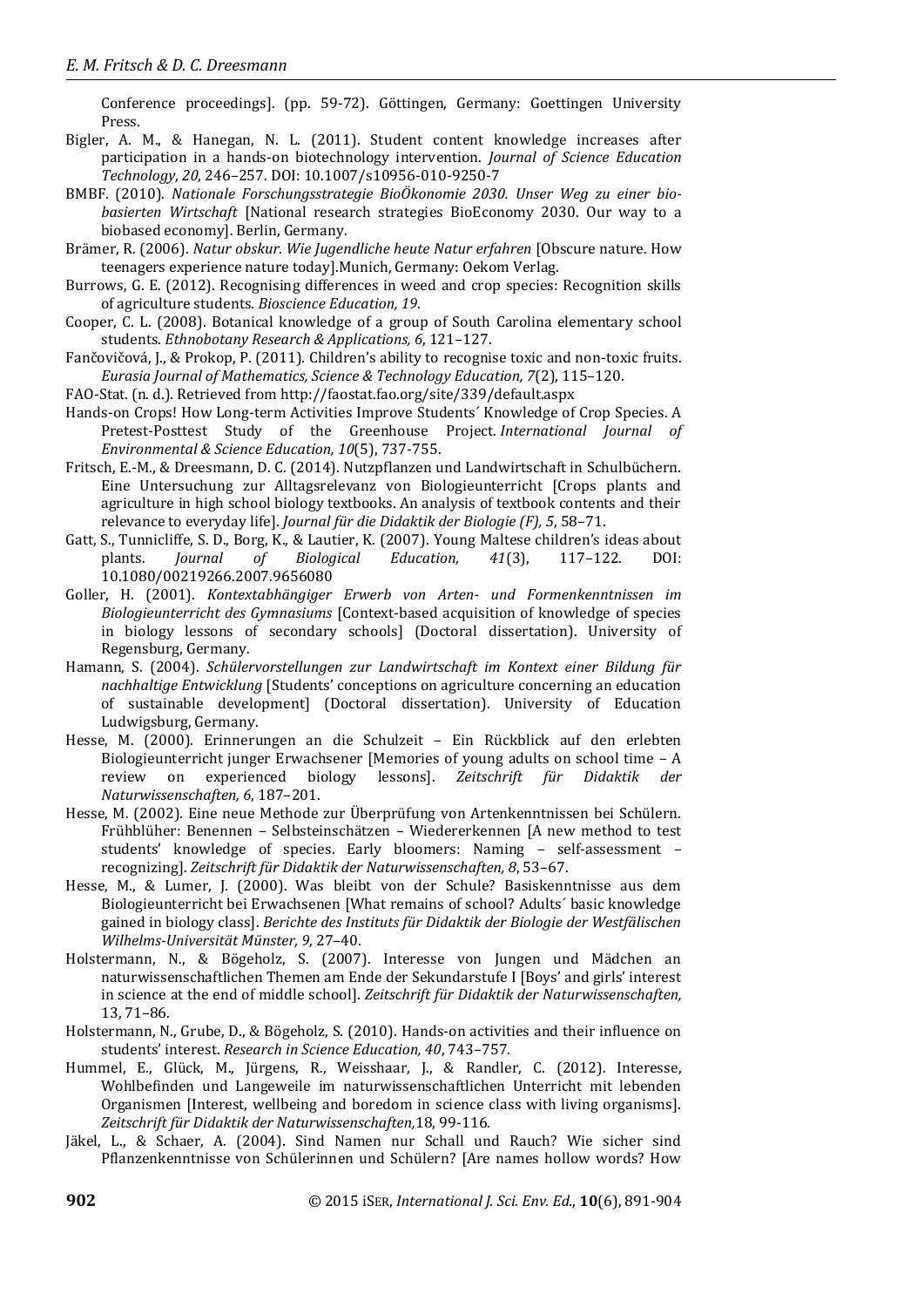Conference proceedings]. (pp. 59-72). Göttingen, Germany: Goettingen University Press.

- Bigler, A. M., & Hanegan, N. L. (2011). Student content knowledge increases after participation in a hands-on biotechnology intervention. *Journal of Science Education Technology*, *20*, 246–257. DOI: 10.1007/s10956-010-9250-7
- BMBF. (2010). *Nationale Forschungsstrategie BioÖkonomie 2030. Unser Weg zu einer biobasierten Wirtschaft* [National research strategies BioEconomy 2030. Our way to a biobased economy]. Berlin, Germany.
- Brämer, R. (2006). *Natur obskur. Wie Jugendliche heute Natur erfahren* [Obscure nature. How teenagers experience nature today].Munich, Germany: Oekom Verlag.
- Burrows, G. E. (2012). Recognising differences in weed and crop species: Recognition skills of agriculture students. *Bioscience Education, 19*.
- Cooper, C. L. (2008). Botanical knowledge of a group of South Carolina elementary school students. *Ethnobotany Research & Applications, 6*, 121–127.
- Fančovičová, J., & Prokop, P. (2011). Children's ability to recognise toxic and non-toxic fruits. *Eurasia Journal of Mathematics, Science & Technology Education, 7*(2), 115–120.
- FAO-Stat. (n. d.). Retrieved from http://faostat.fao.org/site/339/default.aspx
- Hands-on Crops! How Long-term Activities Improve Students´ Knowledge of Crop Species. A Pretest-Posttest Study of the Greenhouse Project. *International Journal of Environmental & Science Education, 10*(5), 737-755.
- Fritsch, E.-M., & Dreesmann, D. C. (2014). Nutzpflanzen und Landwirtschaft in Schulbüchern. Eine Untersuchung zur Alltagsrelevanz von Biologieunterricht [Crops plants and agriculture in high school biology textbooks. An analysis of textbook contents and their relevance to everyday life]. *Journal für die Didaktik der Biologie (F), 5*, 58–71.
- Gatt, S., Tunnicliffe, S. D., Borg, K., & Lautier, K. (2007). Young Maltese children's ideas about plants. *Journal of Biological Education, 41*(3), 117–122. DOI: 10.1080/00219266.2007.9656080
- Goller, H. (2001). *Kontextabhängiger Erwerb von Arten- und Formenkenntnissen im Biologieunterricht des Gymnasiums* [Context-based acquisition of knowledge of species in biology lessons of secondary schools] (Doctoral dissertation). University of Regensburg, Germany.
- Hamann, S. (2004). *Schülervorstellungen zur Landwirtschaft im Kontext einer Bildung für nachhaltige Entwicklung* [Students' conceptions on agriculture concerning an education of sustainable development] (Doctoral dissertation). University of Education Ludwigsburg, Germany.
- Hesse, M. (2000). Erinnerungen an die Schulzeit Ein Rückblick auf den erlebten Biologieunterricht junger Erwachsener [Memories of young adults on school time – A review on experienced biology lessons]. *Zeitschrift für Didaktik der Naturwissenschaften, 6*, 187–201.
- Hesse, M. (2002). Eine neue Methode zur Überprüfung von Artenkenntnissen bei Schülern. Frühblüher: Benennen – Selbsteinschätzen – Wiedererkennen [A new method to test students' knowledge of species. Early bloomers: Naming – self-assessment – recognizing]. *Zeitschrift für Didaktik der Naturwissenschaften, 8*, 53–67.
- Hesse, M., & Lumer, J. (2000). Was bleibt von der Schule? Basiskenntnisse aus dem Biologieunterricht bei Erwachsenen [What remains of school? Adults´ basic knowledge gained in biology class]. *Berichte des Instituts für Didaktik der Biologie der Westfälischen Wilhelms-Universität Münster, 9*, 27–40.
- Holstermann, N., & Bögeholz, S. (2007). Interesse von Jungen und Mädchen an naturwissenschaftlichen Themen am Ende der Sekundarstufe I [Boys' and girls' interest in science at the end of middle school]. *Zeitschrift für Didaktik der Naturwissenschaften,* 13, 71–86.
- Holstermann, N., Grube, D., & Bögeholz, S. (2010). Hands-on activities and their influence on students' interest. *Research in Science Education, 40*, 743–757.
- Hummel, E., Glück, M., Jürgens, R., Weisshaar, J., & Randler, C. (2012). Interesse, Wohlbefinden und Langeweile im naturwissenschaftlichen Unterricht mit lebenden Organismen [Interest, wellbeing and boredom in science class with living organisms]. *Zeitschrift für Didaktik der Naturwissenschaften,*18, 99-116.
- Jäkel, L., & Schaer, A. (2004). Sind Namen nur Schall und Rauch? Wie sicher sind Pflanzenkenntnisse von Schülerinnen und Schülern? [Are names hollow words? How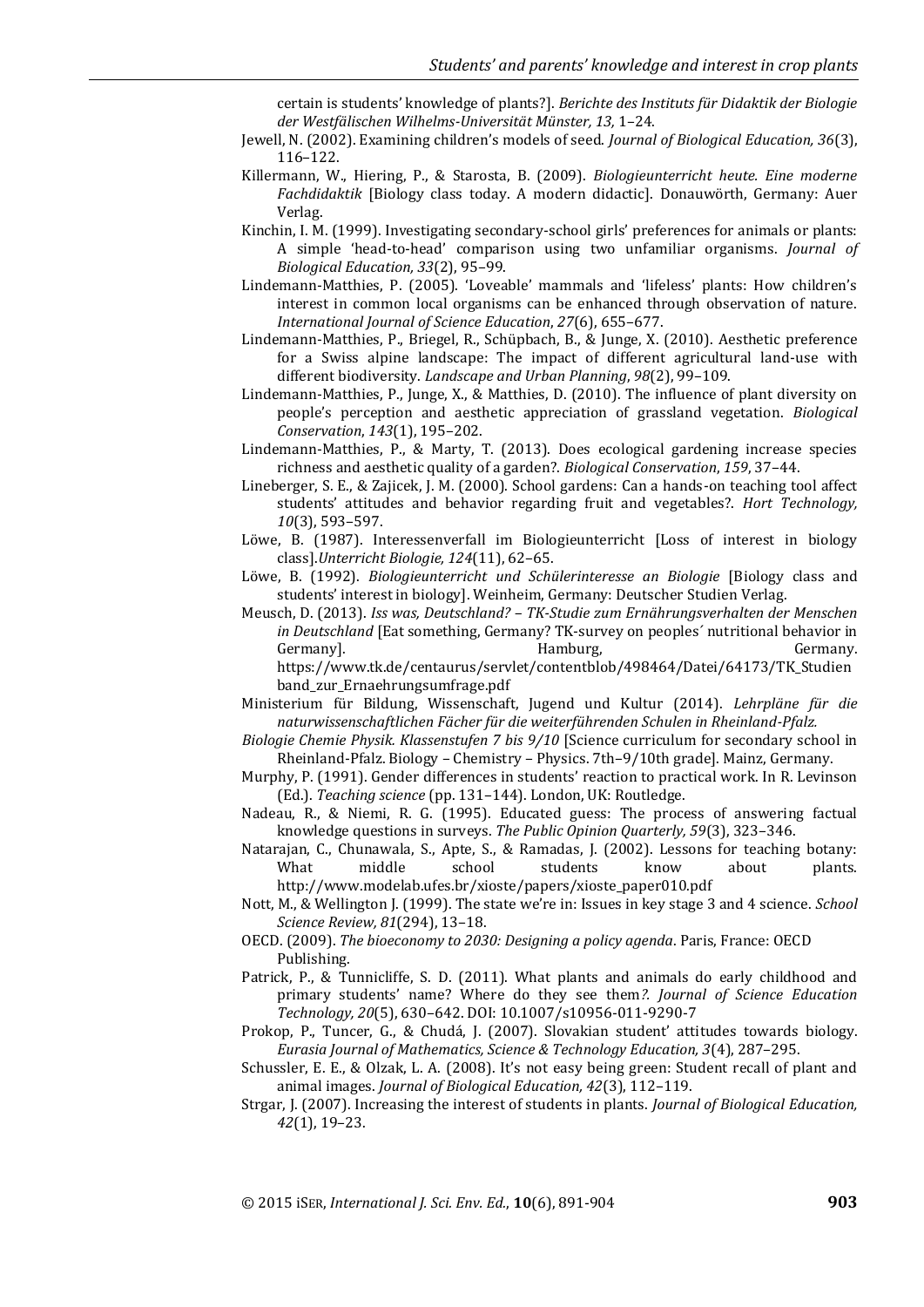certain is students' knowledge of plants?]. *Berichte des Instituts für Didaktik der Biologie der Westfälischen Wilhelms-Universität Münster, 13,* 1–24.

- Jewell, N. (2002). Examining children's models of seed. *Journal of Biological Education, 36*(3), 116–122.
- Killermann, W., Hiering, P., & Starosta, B. (2009). *Biologieunterricht heute. Eine moderne Fachdidaktik* [Biology class today. A modern didactic]. Donauwörth, Germany: Auer Verlag.
- Kinchin, I. M. (1999). Investigating secondary-school girls' preferences for animals or plants: A simple 'head-to-head' comparison using two unfamiliar organisms. *Journal of Biological Education, 33*(2), 95–99.
- Lindemann‐Matthies, P. (2005). 'Loveable' mammals and 'lifeless' plants: How children's interest in common local organisms can be enhanced through observation of nature. *International Journal of Science Education*, *27*(6), 655–677.
- Lindemann-Matthies, P., Briegel, R., Schüpbach, B., & Junge, X. (2010). Aesthetic preference for a Swiss alpine landscape: The impact of different agricultural land-use with different biodiversity. *Landscape and Urban Planning*, *98*(2), 99–109.
- Lindemann-Matthies, P., Junge, X., & Matthies, D. (2010). The influence of plant diversity on people's perception and aesthetic appreciation of grassland vegetation. *Biological Conservation*, *143*(1), 195–202.
- Lindemann-Matthies, P., & Marty, T. (2013). Does ecological gardening increase species richness and aesthetic quality of a garden?. *Biological Conservation*, *159*, 37–44.
- Lineberger, S. E., & Zajicek, J. M. (2000). School gardens: Can a hands-on teaching tool affect students' attitudes and behavior regarding fruit and vegetables?. *Hort Technology, 10*(3), 593–597.
- Löwe, B. (1987). Interessenverfall im Biologieunterricht [Loss of interest in biology class].*Unterricht Biologie, 124*(11), 62–65.
- Löwe, B. (1992). *Biologieunterricht und Schülerinteresse an Biologie* [Biology class and students' interest in biology]. Weinheim, Germany: Deutscher Studien Verlag.
- Meusch, D. (2013). *Iss was, Deutschland? – TK-Studie zum Ernährungsverhalten der Menschen in Deutschland* [Eat something, Germany? TK-survey on peoples´ nutritional behavior in Germany]. The contract of the Hamburg, the contract of the Germany. The Germany.

https://www.tk.de/centaurus/servlet/contentblob/498464/Datei/64173/TK\_Studien band\_zur\_Ernaehrungsumfrage.pdf

- Ministerium für Bildung, Wissenschaft, Jugend und Kultur (2014). *Lehrpläne für die naturwissenschaftlichen Fächer für die weiterführenden Schulen in Rheinland-Pfalz.*
- *Biologie Chemie Physik. Klassenstufen 7 bis 9/10* [Science curriculum for secondary school in Rheinland-Pfalz. Biology – Chemistry – Physics. 7th–9/10th grade]. Mainz, Germany.
- Murphy, P. (1991). Gender differences in students' reaction to practical work. In R. Levinson (Ed.). *Teaching science* (pp. 131–144). London, UK: Routledge.
- Nadeau, R., & Niemi, R. G. (1995). Educated guess: The process of answering factual knowledge questions in surveys. *The Public Opinion Quarterly, 59*(3), 323–346.
- Natarajan, C., Chunawala, S., Apte, S., & Ramadas, J. (2002). Lessons for teaching botany: What middle school students know about plants. http://www.modelab.ufes.br/xioste/papers/xioste\_paper010.pdf
- Nott, M., & Wellington J. (1999). The state we're in: Issues in key stage 3 and 4 science. *School Science Review, 81*(294), 13–18.
- OECD. (2009). *The bioeconomy to 2030: Designing a policy agenda*. Paris, France: OECD Publishing.
- Patrick, P., & Tunnicliffe, S. D. (2011). What plants and animals do early childhood and primary students' name? Where do they see them*?. Journal of Science Education Technology, 20*(5), 630–642. DOI: 10.1007/s10956-011-9290-7
- Prokop, P., Tuncer, G., & Chudá, J. (2007). Slovakian student' attitudes towards biology. *Eurasia Journal of Mathematics, Science & Technology Education, 3*(4), 287–295.
- Schussler, E. E., & Olzak, L. A. (2008). It's not easy being green: Student recall of plant and animal images. *Journal of Biological Education, 42*(3), 112–119.
- Strgar, J. (2007). Increasing the interest of students in plants. *Journal of Biological Education, 42*(1), 19–23.